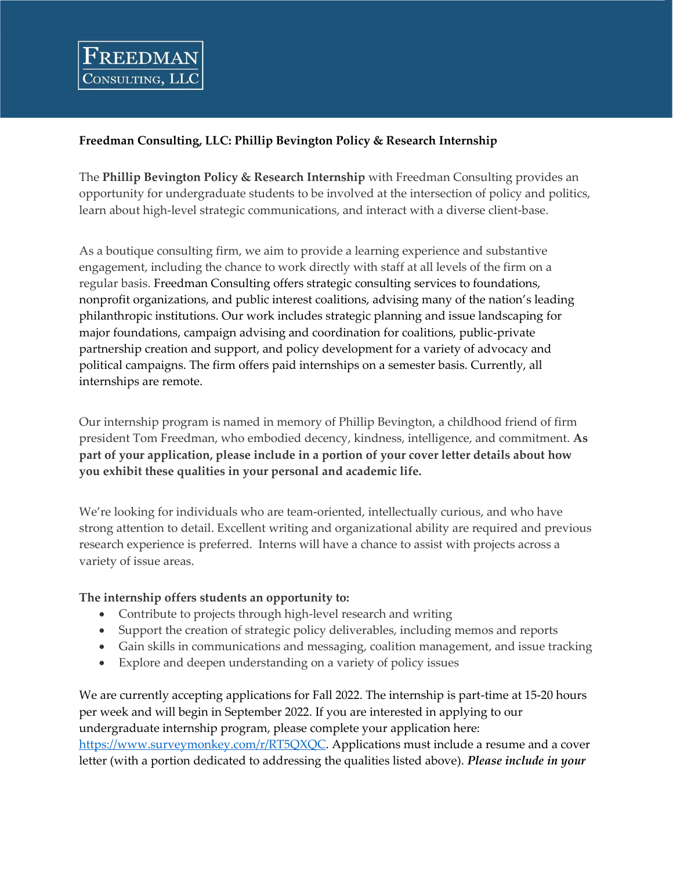## **Freedman Consulting, LLC: Phillip Bevington Policy & Research Internship**

The **Phillip Bevington Policy & Research Internship** with Freedman Consulting provides an opportunity for undergraduate students to be involved at the intersection of policy and politics, learn about high-level strategic communications, and interact with a diverse client-base.

As a boutique consulting firm, we aim to provide a learning experience and substantive engagement, including the chance to work directly with staff at all levels of the firm on a regular basis. Freedman Consulting offers strategic consulting services to foundations, nonprofit organizations, and public interest coalitions, advising many of the nation's leading philanthropic institutions. Our work includes strategic planning and issue landscaping for major foundations, campaign advising and coordination for coalitions, public-private partnership creation and support, and policy development for a variety of advocacy and political campaigns. The firm offers paid internships on a semester basis. Currently, all internships are remote.

Our internship program is named in memory of Phillip Bevington, a childhood friend of firm president Tom Freedman, who embodied decency, kindness, intelligence, and commitment. **As part of your application, please include in a portion of your cover letter details about how you exhibit these qualities in your personal and academic life.** 

We're looking for individuals who are team-oriented, intellectually curious, and who have strong attention to detail. Excellent writing and organizational ability are required and previous research experience is preferred. Interns will have a chance to assist with projects across a variety of issue areas.

## **The internship offers students an opportunity to:**

- Contribute to projects through high-level research and writing
- Support the creation of strategic policy deliverables, including memos and reports
- Gain skills in communications and messaging, coalition management, and issue tracking
- Explore and deepen understanding on a variety of policy issues

We are currently accepting applications for Fall 2022. The internship is part-time at 15-20 hours per week and will begin in September 2022. If you are interested in applying to our undergraduate internship program, please complete your application here: [https://www.surveymonkey.com/r/RT5QXQC.](https://www.surveymonkey.com/r/RT5QXQC) Applications must include a resume and a cover letter (with a portion dedicated to addressing the qualities listed above). *Please include in your*